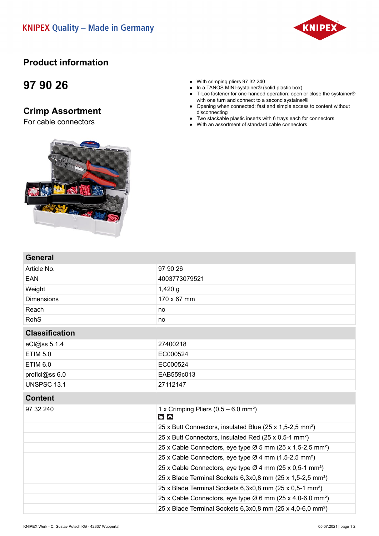#### **KNIPEX Quality - Made in Germany**



### **Product information**

## **97 90 26**

**General**

### **Crimp Assortment**

For cable connectors



- In a TANOS MINI-systainer<sup>®</sup> (solid plastic box)
- T-Loc fastener for one-handed operation: open or close the systainer® with one turn and connect to a second systainer®
- Opening when connected: fast and simple access to content without disconnecting
- Two stackable plastic inserts with 6 trays each for connectors
- With an assortment of standard cable connectors



| 97 90 26                                                                           |  |
|------------------------------------------------------------------------------------|--|
| 4003773079521                                                                      |  |
| $1,420$ g                                                                          |  |
| 170 x 67 mm                                                                        |  |
| no                                                                                 |  |
| no                                                                                 |  |
| <b>Classification</b>                                                              |  |
| 27400218                                                                           |  |
| EC000524                                                                           |  |
| EC000524                                                                           |  |
| EAB559c013                                                                         |  |
| 27112147                                                                           |  |
|                                                                                    |  |
| 1 x Crimping Pliers $(0,5 - 6,0 \text{ mm}^2)$<br><b>MA</b>                        |  |
| 25 x Butt Connectors, insulated Blue (25 x 1,5-2,5 mm <sup>2</sup> )               |  |
| 25 x Butt Connectors, insulated Red (25 x 0,5-1 mm <sup>2</sup> )                  |  |
| 25 x Cable Connectors, eye type Ø 5 mm (25 x 1,5-2,5 mm <sup>2</sup> )             |  |
| 25 x Cable Connectors, eye type Ø 4 mm (1,5-2,5 mm <sup>2</sup> )                  |  |
| 25 x Cable Connectors, eye type Ø 4 mm (25 x 0,5-1 mm <sup>2</sup> )               |  |
| 25 x Blade Terminal Sockets 6,3x0,8 mm (25 x 1,5-2,5 mm <sup>2</sup> )             |  |
| 25 x Blade Terminal Sockets 6,3x0,8 mm (25 x 0,5-1 mm <sup>2</sup> )               |  |
| 25 x Cable Connectors, eye type $\varnothing$ 6 mm (25 x 4,0-6,0 mm <sup>2</sup> ) |  |
| 25 x Blade Terminal Sockets 6,3x0,8 mm (25 x 4,0-6,0 mm <sup>2</sup> )             |  |
|                                                                                    |  |